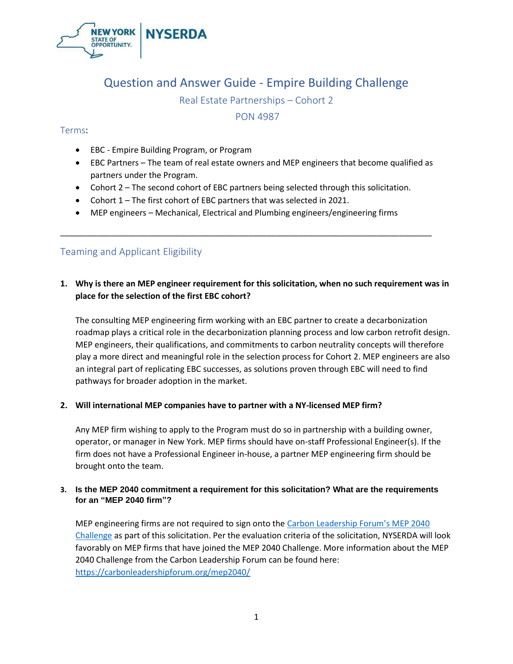

# Question and Answer Guide - Empire Building Challenge

Real Estate Partnerships – Cohort 2

PON 4987

## Terms:

- EBC Empire Building Program, or Program
- EBC Partners The team of real estate owners and MEP engineers that become qualified as partners under the Program.
- Cohort 2 The second cohort of EBC partners being selected through this solicitation.

\_\_\_\_\_\_\_\_\_\_\_\_\_\_\_\_\_\_\_\_\_\_\_\_\_\_\_\_\_\_\_\_\_\_\_\_\_\_\_\_\_\_\_\_\_\_\_\_\_\_\_\_\_\_\_\_\_\_\_\_\_\_\_\_\_\_\_\_\_\_\_\_\_\_\_\_\_\_\_\_\_

- Cohort 1 The first cohort of EBC partners that was selected in 2021.
- MEP engineers Mechanical, Electrical and Plumbing engineers/engineering firms

# Teaming and Applicant Eligibility

# **1. Why is there an MEP engineer requirement for this solicitation, when no such requirement was in place for the selection of the first EBC cohort?**

The consulting MEP engineering firm working with an EBC partner to create a decarbonization roadmap plays a critical role in the decarbonization planning process and low carbon retrofit design. MEP engineers, their qualifications, and commitments to carbon neutrality concepts will therefore play a more direct and meaningful role in the selection process for Cohort 2. MEP engineers are also an integral part of replicating EBC successes, as solutions proven through EBC will need to find pathways for broader adoption in the market.

#### **2. Will international MEP companies have to partner with a NY-licensed MEP firm?**

Any MEP firm wishing to apply to the Program must do so in partnership with a building owner, operator, or manager in New York. MEP firms should have on-staff Professional Engineer(s). If the firm does not have a Professional Engineer in-house, a partner MEP engineering firm should be brought onto the team.

## **3. Is the MEP 2040 commitment a requirement for this solicitation? What are the requirements for an "MEP 2040 firm"?**

MEP engineering firms are not required to sign onto the [Carbon Leadership Forum'](https://carbonleadershipforum.org/mep2040)s MEP 2040 [Challenge](https://carbonleadershipforum.org/mep2040) as part of this solicitation. Per the evaluation criteria of the solicitation, NYSERDA will look favorably on MEP firms that have joined the MEP 2040 Challenge. More information about the MEP 2040 Challenge from the Carbon Leadership Forum can be found here: <https://carbonleadershipforum.org/mep2040/>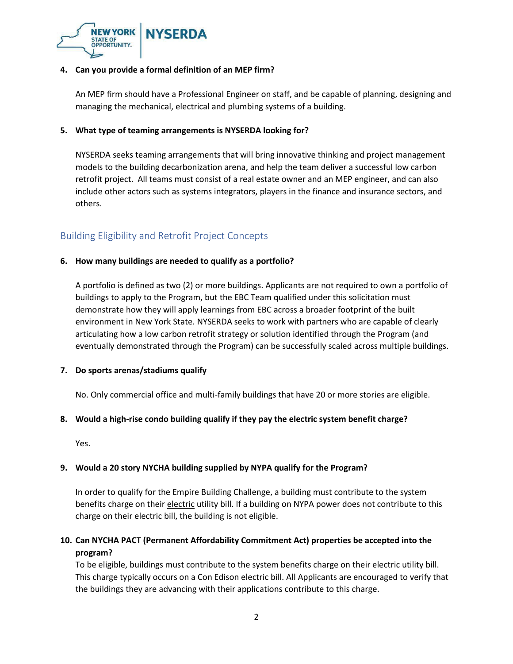

### **4. Can you provide a formal definition of an MEP firm?**

An MEP firm should have a Professional Engineer on staff, and be capable of planning, designing and managing the mechanical, electrical and plumbing systems of a building.

### **5. What type of teaming arrangements is NYSERDA looking for?**

NYSERDA seeks teaming arrangements that will bring innovative thinking and project management models to the building decarbonization arena, and help the team deliver a successful low carbon retrofit project. All teams must consist of a real estate owner and an MEP engineer, and can also include other actors such as systems integrators, players in the finance and insurance sectors, and others.

# Building Eligibility and Retrofit Project Concepts

## **6. How many buildings are needed to qualify as a portfolio?**

A portfolio is defined as two (2) or more buildings. Applicants are not required to own a portfolio of buildings to apply to the Program, but the EBC Team qualified under this solicitation must demonstrate how they will apply learnings from EBC across a broader footprint of the built environment in New York State. NYSERDA seeks to work with partners who are capable of clearly articulating how a low carbon retrofit strategy or solution identified through the Program (and eventually demonstrated through the Program) can be successfully scaled across multiple buildings.

#### **7. Do sports arenas/stadiums qualify**

No. Only commercial office and multi-family buildings that have 20 or more stories are eligible.

#### **8. Would a high-rise condo building qualify if they pay the electric system benefit charge?**

Yes.

# **9. Would a 20 story NYCHA building supplied by NYPA qualify for the Program?**

In order to qualify for the Empire Building Challenge, a building must contribute to the system benefits charge on their electric utility bill. If a building on NYPA power does not contribute to this charge on their electric bill, the building is not eligible.

# **10. Can NYCHA PACT (Permanent Affordability Commitment Act) properties be accepted into the program?**

To be eligible, buildings must contribute to the system benefits charge on their electric utility bill. This charge typically occurs on a Con Edison electric bill. All Applicants are encouraged to verify that the buildings they are advancing with their applications contribute to this charge.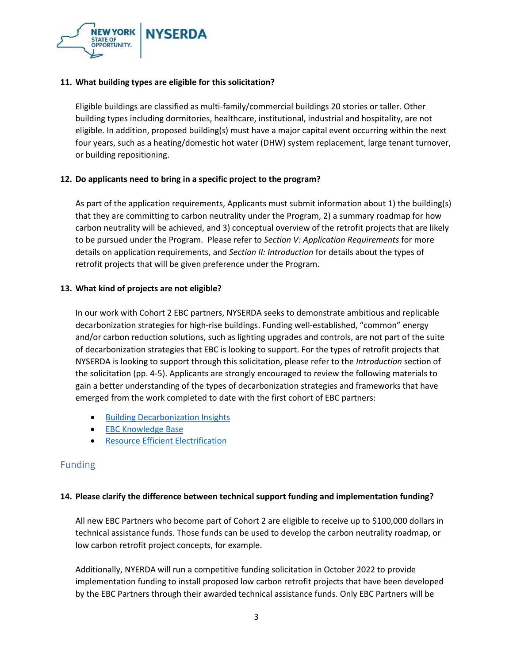

#### **11. What building types are eligible for this solicitation?**

Eligible buildings are classified as multi-family/commercial buildings 20 stories or taller. Other building types including dormitories, healthcare, institutional, industrial and hospitality, are not eligible. In addition, proposed building(s) must have a major capital event occurring within the next four years, such as a heating/domestic hot water (DHW) system replacement, large tenant turnover, or building repositioning.

## **12. Do applicants need to bring in a specific project to the program?**

As part of the application requirements, Applicants must submit information about 1) the building(s) that they are committing to carbon neutrality under the Program, 2) a summary roadmap for how carbon neutrality will be achieved, and 3) conceptual overview of the retrofit projects that are likely to be pursued under the Program. Please refer to *Section V: Application Requirements* for more details on application requirements, and *Section II: Introduction* for details about the types of retrofit projects that will be given preference under the Program.

#### **13. What kind of projects are not eligible?**

In our work with Cohort 2 EBC partners, NYSERDA seeks to demonstrate ambitious and replicable decarbonization strategies for high-rise buildings. Funding well-established, "common" energy and/or carbon reduction solutions, such as lighting upgrades and controls, are not part of the suite of decarbonization strategies that EBC is looking to support. For the types of retrofit projects that NYSERDA is looking to support through this solicitation, please refer to the *Introduction* section of the solicitation (pp. 4-5). Applicants are strongly encouraged to review the following materials to gain a better understanding of the types of decarbonization strategies and frameworks that have emerged from the work completed to date with the first cohort of EBC partners:

- [Building Decarbonization Insights](https://www.nyserda.ny.gov/All-Programs/Empire-Building-Challenge/Building-Decarbonization-Insights)
- **[EBC Knowledge Base](https://knowledge.nyserda.ny.gov/pages/viewpage.action?pageId=94569583)**
- [Resource Efficient Electrification](https://knowledge.nyserda.ny.gov/pages/viewpage.action?pageId=99877144)

# Funding

#### **14. Please clarify the difference between technical support funding and implementation funding?**

All new EBC Partners who become part of Cohort 2 are eligible to receive up to \$100,000 dollars in technical assistance funds. Those funds can be used to develop the carbon neutrality roadmap, or low carbon retrofit project concepts, for example.

Additionally, NYERDA will run a competitive funding solicitation in October 2022 to provide implementation funding to install proposed low carbon retrofit projects that have been developed by the EBC Partners through their awarded technical assistance funds. Only EBC Partners will be